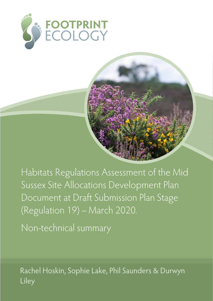



Habitats Regulations Assessment of the Mid Sussex Site Allocations Development Plan Document at Draft Submission Plan Stage (Regulation 19) - March 2020.

Non-technical summary

Rachel Hoskin, Sophie Lake, Phil Saunders & Durwyn Liley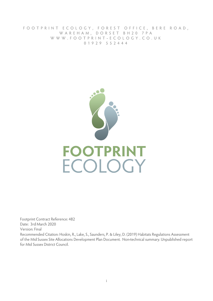FOOTPRINT ECOLOGY, FOREST OFFICE, BERE ROAD, WAREHAM, DORSET BH20 7PA WWW.FOOTPRINT-ECOLOGY.CO.UK 0 1 9 2 9 5 5 2 4 4 4



Footprint Contract Reference: 482 Date: 3rd March 2020 Version: Final Recommended Citation: Hoskin, R., Lake, S., Saunders, P. & Liley, D. (2019) Habitats Regulations Assessment of the Mid Sussex Site Allocations Development Plan Document. Non-technical summary. Unpublished report for Mid Sussex District Council.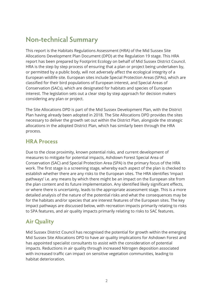# **Non-technical Summary**

This report is the Habitats Regulations Assessment (HRA) of the Mid Sussex Site Allocations Development Plan Document (DPD) at the Regulation 19 stage. This HRA report has been prepared by Footprint Ecology on behalf of Mid Sussex District Council. HRA is the step by step process of ensuring that a plan or project being undertaken by, or permitted by a public body, will not adversely affect the ecological integrity of a European wildlife site. European sites include Special Protection Areas (SPAs), which are classified for their bird populations of European interest, and Special Areas of Conservation (SACs), which are designated for habitats and species of European interest. The legislation sets out a clear step by step approach for decision makers considering any plan or project.

The Site Allocations DPD is part of the Mid Sussex Development Plan, with the District Plan having already been adopted in 2018. The Site Allocations DPD provides the sites necessary to deliver the growth set out within the District Plan, alongside the strategic allocations in the adopted District Plan, which has similarly been through the HRA process.

#### **HRA Process**

Due to the close proximity, known potential risks, and current development of measures to mitigate for potential impacts, Ashdown Forest Special Area of Conservation (SAC) and Special Protection Area (SPA) is the primary focus of the HRA work. The first stage is a screening stage, whereby each aspect of the plan is checked to establish whether there are any risks to the European sites. The HRA identifies 'impact pathways' i.e. any means by which there might be an impact on the European site from the plan content and its future implementation. Any identified likely significant effects, or where there is uncertainty, leads to the appropriate assessment stage. This is a more detailed analysis of the nature of the potential risks and what the consequences may be for the habitats and/or species that are interest features of the European sites. The key impact pathways are discussed below, with recreation impacts primarily relating to risks to SPA features, and air quality impacts primarily relating to risks to SAC features.

## **Air Quality**

Mid Sussex District Council has recognised the potential for growth within the emerging Mid Sussex Site Allocations DPD to have air quality implications for Ashdown Forest and has appointed specialist consultants to assist with the consideration of potential impacts. Reductions in air quality through increased Nitrogen deposition associated with increased traffic can impact on sensitive vegetation communities, leading to habitat deterioration.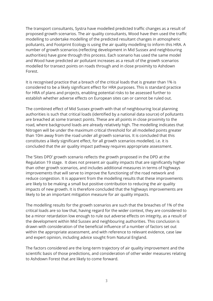The transport consultants, Systra have modelled predicted traffic changes as a result of proposed growth scenarios. The air quality consultants, Wood have then used the traffic modelling to undertake modelling of the predicted resultant changes in atmospheric pollutants, and Footprint Ecology is using the air quality modelling to inform this HRA. A number of growth scenarios (reflecting development in Mid Sussex and neighbouring authorities) have gone through this process. Each scenario has used the same model and Wood have predicted air pollutant increases as a result of the growth scenarios modelled for transect points on roads through and in close proximity to Ashdown Forest.

It is recognised practice that a breach of the critical loads that is greater than 1% is considered to be a likely significant effect for HRA purposes. This is standard practice for HRA of plans and projects, enabling potential risks to be assessed further to establish whether adverse effects on European sites can or cannot be ruled out.

The combined effect of Mid Sussex growth with that of neighbouring local planning authorities is such that critical loads (identified by a national data source) of pollutants are breached at some transect points. These are all points in close proximity to the road, where background loads are already relatively high. The modelling indicates that Nitrogen will be under the maximum critical threshold for all modelled points greater than 10m away from the road under all growth scenarios. It is concluded that this constitutes a likely significant effect, for all growth scenarios modelled, i.e. it is concluded that the air quality impact pathway requires appropriate assessment.

The 'Sites DPD' growth scenario reflects the growth proposed in the DPD at the Regulation 19 stage. It does not present air quality impacts that are significantly higher than other growth scenarios, and includes additional measures in terms of highways improvements that will serve to improve the functioning of the road network and reduce congestion. It is apparent from the modelling results that these improvements are likely to be making a small but positive contribution to reducing the air quality impacts of new growth. It is therefore concluded that the highways improvements are likely to be an important mitigation measure for air quality impacts.

The modelling results for the growth scenarios are such that the breaches of 1% of the critical loads are so low that, having regard for the wider context, they are considered to be a minor retardation low enough to rule out adverse effects on integrity, as a result of the development within Mid Sussex and neighbouring authorities. This conclusion is drawn with consideration of the beneficial influence of a number of factors set out within the appropriate assessment, and with reference to relevant evidence, case law and expert opinion, including advice sought from Natural England.

The factors considered are the long-term trajectory of air quality improvement and the scientific basis of those predictions, and consideration of other wider measures relating to Ashdown Forest that are likely to come forward.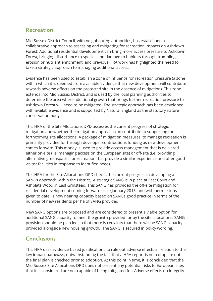### **Recreation**

Mid Sussex District Council, with neighbouring authorities, has established a collaborative approach to assessing and mitigating for recreation impacts on Ashdown Forest. Additional residential development can bring more access pressure to Ashdown Forest, bringing disturbance to species and damage to habitats through trampling, erosion or nutrient enrichment, and previous HRA work has highlighted the need to take a strategic approach to managing additional access.

Evidence has been used to establish a zone of influence for recreation pressure (a zone within which it is deemed from available evidence that new development will contribute towards adverse effects on the protected site in the absence of mitigation). This zone extends into Mid Sussex District, and is used by the local planning authorities to determine the area where additional growth that brings further recreation pressure to Ashdown Forest will need to be mitigated. The strategic approach has been developed with available evidence and is supported by Natural England as the statutory nature conservation body.

This HRA of the Site Allocations DPD assesses the current progress of strategic mitigation and whether the mitigation approach can contribute to supporting the forthcoming site allocations. A package of mitigation measures, to manage recreation is primarily provided for through developer contributions funding as new development comes forward. This money is used to provide access management that is delivered either on-site (i.e. managing access on the European site) or off-site (i.e. providing alternative greenspaces for recreation that provide a similar experience and offer good visitor facilities in response to identified need).

This HRA for the Site Allocations DPD checks the current progress in developing a SANGs approach within the District. A strategic SANG is in place at East Court and Ashplats Wood in East Grinstead. This SANG has provided the off-site mitigation for residential development coming forward since January 2015, and with permissions given to date, is now nearing capacity based on SANGs good practice in terms of the number of new residents per ha of SANG provided.

New SANG options are proposed and are considered to present a viable option for additional SANG capacity to meet the growth provided for by the site allocations. SANG provision should be plan led so that there is certainty that there will be SANG capacity provided alongside new housing growth. The SANG is secured in policy wording.

# **Conclusions**

This HRA uses evidence-based justifications to rule out adverse effects in relation to the key impact pathways, notwithstanding the fact that a HRA report is not complete until the final plan is checked prior to adoption. At this point in time, it is concluded that the Mid Sussex Site Allocations DPD does not present any potential risks to European sites that it is considered are not capable of being mitigated for. Adverse effects on integrity